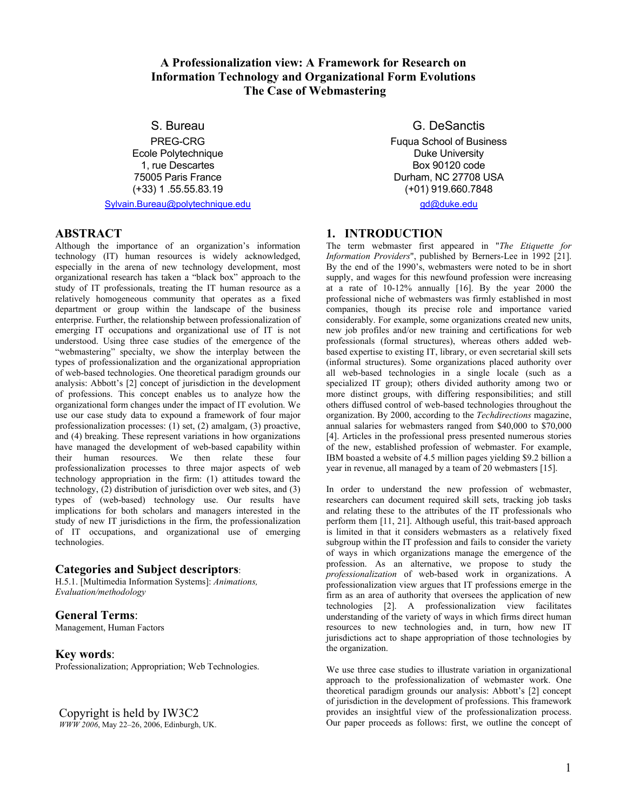# **A Professionalization view: A Framework for Research on Information Technology and Organizational Form Evolutions The Case of Webmastering**

S. Bureau

PREG-CRG Ecole Polytechnique 1, rue Descartes 75005 Paris France (+33) 1 .55.55.83.19

Sylvain.Bureau@polytechnique.edu

## **ABSTRACT**

Although the importance of an organization's information technology (IT) human resources is widely acknowledged, especially in the arena of new technology development, most organizational research has taken a "black box" approach to the study of IT professionals, treating the IT human resource as a relatively homogeneous community that operates as a fixed department or group within the landscape of the business enterprise. Further, the relationship between professionalization of emerging IT occupations and organizational use of IT is not understood. Using three case studies of the emergence of the "webmastering" specialty, we show the interplay between the types of professionalization and the organizational appropriation of web-based technologies. One theoretical paradigm grounds our analysis: Abbott's [2] concept of jurisdiction in the development of professions. This concept enables us to analyze how the organizational form changes under the impact of IT evolution. We use our case study data to expound a framework of four major professionalization processes: (1) set, (2) amalgam, (3) proactive, and (4) breaking. These represent variations in how organizations have managed the development of web-based capability within their human resources. We then relate these four professionalization processes to three major aspects of web technology appropriation in the firm: (1) attitudes toward the technology, (2) distribution of jurisdiction over web sites, and (3) types of (web-based) technology use. Our results have implications for both scholars and managers interested in the study of new IT jurisdictions in the firm, the professionalization of IT occupations, and organizational use of emerging technologies.

## **Categories and Subject descriptors**:

H.5.1. [Multimedia Information Systems]: *Animations, Evaluation/methodology*

# **General Terms**:

Management, Human Factors

## **Key words**:

Professionalization; Appropriation; Web Technologies.

*WWW 2006*, May 22–26, 2006, Edinburgh, UK.

# G. DeSanctis

Fuqua School of Business Duke University Box 90120 code Durham, NC 27708 USA (+01) 919.660.7848

gd@duke.edu

# **1. INTRODUCTION**

The term webmaster first appeared in "*The Etiquette for Information Providers*", published by Berners-Lee in 1992 [21]. By the end of the 1990's, webmasters were noted to be in short supply, and wages for this newfound profession were increasing at a rate of 10-12% annually [16]. By the year 2000 the professional niche of webmasters was firmly established in most companies, though its precise role and importance varied considerably. For example, some organizations created new units, new job profiles and/or new training and certifications for web professionals (formal structures), whereas others added webbased expertise to existing IT, library, or even secretarial skill sets (informal structures). Some organizations placed authority over all web-based technologies in a single locale (such as a specialized IT group); others divided authority among two or more distinct groups, with differing responsibilities; and still others diffused control of web-based technologies throughout the organization. By 2000, according to the *Techdirections* magazine, annual salaries for webmasters ranged from \$40,000 to \$70,000 [4]. Articles in the professional press presented numerous stories of the new, established profession of webmaster. For example, IBM boasted a website of 4.5 million pages yielding \$9.2 billion a year in revenue, all managed by a team of 20 webmasters [15].

In order to understand the new profession of webmaster, researchers can document required skill sets, tracking job tasks and relating these to the attributes of the IT professionals who perform them [11, 21]. Although useful, this trait-based approach is limited in that it considers webmasters as a relatively fixed subgroup within the IT profession and fails to consider the variety of ways in which organizations manage the emergence of the profession. As an alternative, we propose to study the *professionalization* of web-based work in organizations. A professionalization view argues that IT professions emerge in the firm as an area of authority that oversees the application of new technologies [2]. A professionalization view facilitates understanding of the variety of ways in which firms direct human resources to new technologies and, in turn, how new IT jurisdictions act to shape appropriation of those technologies by the organization.

We use three case studies to illustrate variation in organizational approach to the professionalization of webmaster work. One theoretical paradigm grounds our analysis: Abbott's [2] concept of jurisdiction in the development of professions. This framework Copyright is held by IW3C2 provides an insightful view of the professionalization process.<br> *WWW* 2006. May 22–26. 2006. Edinburgh. UK. Our paper proceeds as follows: first, we outline the concept of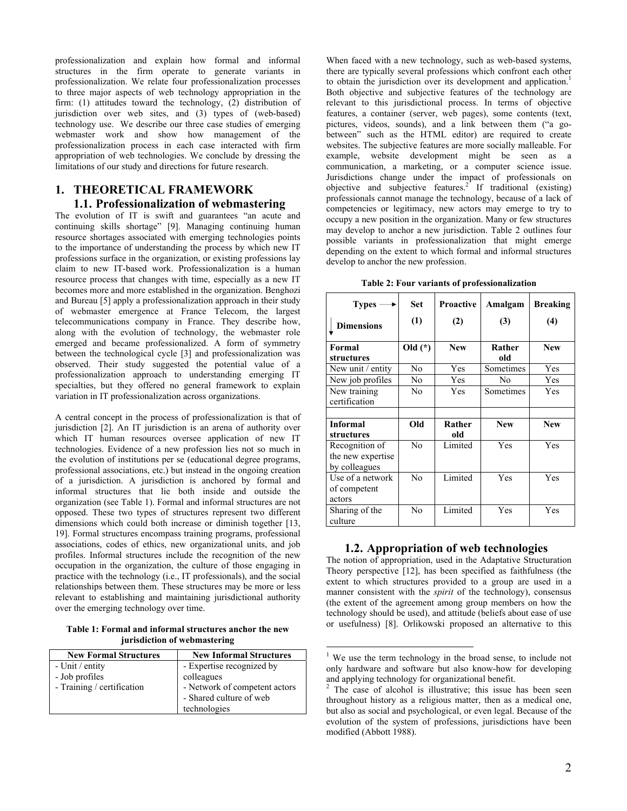professionalization and explain how formal and informal structures in the firm operate to generate variants in professionalization. We relate four professionalization processes to three major aspects of web technology appropriation in the firm: (1) attitudes toward the technology, (2) distribution of jurisdiction over web sites, and (3) types of (web-based) technology use. We describe our three case studies of emerging webmaster work and show how management of the professionalization process in each case interacted with firm appropriation of web technologies. We conclude by dressing the limitations of our study and directions for future research.

# **1. THEORETICAL FRAMEWORK 1.1. Professionalization of webmastering**

The evolution of IT is swift and guarantees "an acute and continuing skills shortage" [9]. Managing continuing human resource shortages associated with emerging technologies points to the importance of understanding the process by which new IT professions surface in the organization, or existing professions lay claim to new IT-based work. Professionalization is a human resource process that changes with time, especially as a new IT becomes more and more established in the organization. Benghozi and Bureau [5] apply a professionalization approach in their study of webmaster emergence at France Telecom, the largest telecommunications company in France. They describe how, along with the evolution of technology, the webmaster role emerged and became professionalized. A form of symmetry between the technological cycle [3] and professionalization was observed. Their study suggested the potential value of a professionalization approach to understanding emerging IT specialties, but they offered no general framework to explain variation in IT professionalization across organizations.

A central concept in the process of professionalization is that of jurisdiction [2]. An IT jurisdiction is an arena of authority over which IT human resources oversee application of new IT technologies. Evidence of a new profession lies not so much in the evolution of institutions per se (educational degree programs, professional associations, etc.) but instead in the ongoing creation of a jurisdiction. A jurisdiction is anchored by formal and informal structures that lie both inside and outside the organization (see Table 1). Formal and informal structures are not opposed. These two types of structures represent two different dimensions which could both increase or diminish together [13, 19]. Formal structures encompass training programs, professional associations, codes of ethics, new organizational units, and job profiles. Informal structures include the recognition of the new occupation in the organization, the culture of those engaging in practice with the technology (i.e., IT professionals), and the social relationships between them. These structures may be more or less relevant to establishing and maintaining jurisdictional authority over the emerging technology over time.

**Table 1: Formal and informal structures anchor the new jurisdiction of webmastering** 

| <b>New Formal Structures</b> | <b>New Informal Structures</b> |
|------------------------------|--------------------------------|
| - Unit / entity              | - Expertise recognized by      |
| - Job profiles               | colleagues                     |
| - Training / certification   | - Network of competent actors  |
|                              | - Shared culture of web        |
|                              | technologies                   |

When faced with a new technology, such as web-based systems, there are typically several professions which confront each other to obtain the jurisdiction over its development and application.<sup>1</sup> Both objective and subjective features of the technology are relevant to this jurisdictional process. In terms of objective features, a container (server, web pages), some contents (text, pictures, videos, sounds), and a link between them ("a gobetween" such as the HTML editor) are required to create websites. The subjective features are more socially malleable. For example, website development might be seen as a communication, a marketing, or a computer science issue. Jurisdictions change under the impact of professionals on objective and subjective features.<sup>2</sup> If traditional (existing) professionals cannot manage the technology, because of a lack of competencies or legitimacy, new actors may emerge to try to occupy a new position in the organization. Many or few structures may develop to anchor a new jurisdiction. Table 2 outlines four possible variants in professionalization that might emerge depending on the extent to which formal and informal structures develop to anchor the new profession.

| <b>Types</b>      | <b>Set</b>     | <b>Proactive</b> | Amalgam        | <b>Breaking</b> |
|-------------------|----------------|------------------|----------------|-----------------|
| <b>Dimensions</b> | (1)            | (2)              | (3)            | (4)             |
| Formal            | Old $(*)$      | <b>New</b>       | Rather         | <b>New</b>      |
| structures        |                |                  | old            |                 |
| New unit / entity | No             | Yes              | Sometimes      | Yes             |
| New job profiles  | N <sub>0</sub> | Yes              | N <sub>0</sub> | Yes             |
| New training      | N <sub>0</sub> | Yes              | Sometimes      | Yes             |
| certification     |                |                  |                |                 |
|                   |                |                  |                |                 |
| <b>Informal</b>   | Old            | Rather           | <b>New</b>     | <b>New</b>      |
| structures        |                | old              |                |                 |
| Recognition of    | No             | Limited          | Yes            | Yes             |
| the new expertise |                |                  |                |                 |
| by colleagues     |                |                  |                |                 |
| Use of a network  | No             | Limited          | Yes            | Yes             |
| of competent      |                |                  |                |                 |
| actors            |                |                  |                |                 |
| Sharing of the    | No             | Limited          | Yes            | Yes             |
| culture           |                |                  |                |                 |

**Table 2: Four variants of professionalization** 

# **1.2. Appropriation of web technologies**

The notion of appropriation, used in the Adaptative Structuration Theory perspective [12], has been specified as faithfulness (the extent to which structures provided to a group are used in a manner consistent with the *spirit* of the technology), consensus (the extent of the agreement among group members on how the technology should be used), and attitude (beliefs about ease of use or usefulness) [8]. Orlikowski proposed an alternative to this

1

<sup>&</sup>lt;sup>1</sup> We use the term technology in the broad sense, to include not only hardware and software but also know-how for developing and applying technology for organizational benefit. 2

 $2$  The case of alcohol is illustrative; this issue has been seen throughout history as a religious matter, then as a medical one, but also as social and psychological, or even legal. Because of the evolution of the system of professions, jurisdictions have been modified (Abbott 1988).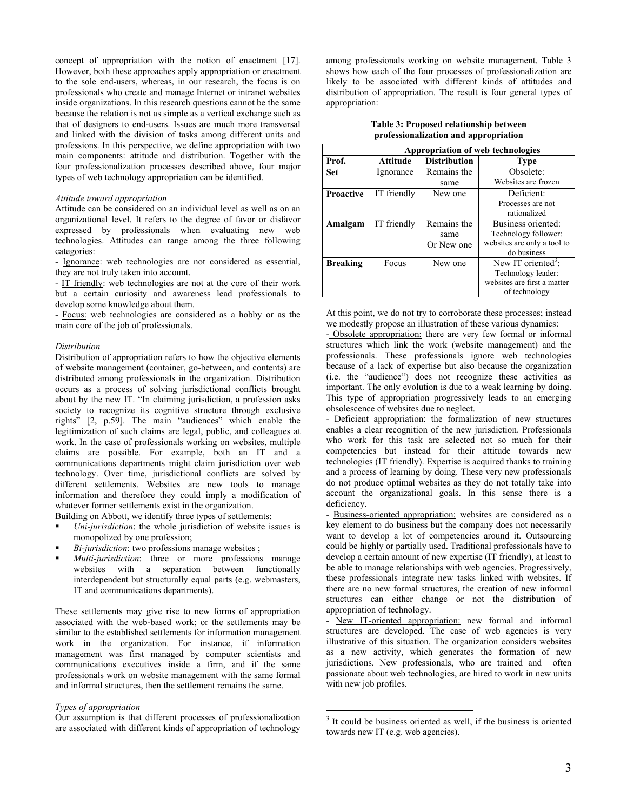concept of appropriation with the notion of enactment [17]. However, both these approaches apply appropriation or enactment to the sole end-users, whereas, in our research, the focus is on professionals who create and manage Internet or intranet websites inside organizations. In this research questions cannot be the same because the relation is not as simple as a vertical exchange such as that of designers to end-users. Issues are much more transversal and linked with the division of tasks among different units and professions. In this perspective, we define appropriation with two main components: attitude and distribution. Together with the four professionalization processes described above, four major types of web technology appropriation can be identified.

#### *Attitude toward appropriation*

Attitude can be considered on an individual level as well as on an organizational level. It refers to the degree of favor or disfavor expressed by professionals when evaluating new web technologies. Attitudes can range among the three following categories:

- Ignorance: web technologies are not considered as essential, they are not truly taken into account.

- IT friendly: web technologies are not at the core of their work but a certain curiosity and awareness lead professionals to develop some knowledge about them.

- Focus: web technologies are considered as a hobby or as the main core of the job of professionals.

#### *Distribution*

Distribution of appropriation refers to how the objective elements of website management (container, go-between, and contents) are distributed among professionals in the organization. Distribution occurs as a process of solving jurisdictional conflicts brought about by the new IT. "In claiming jurisdiction, a profession asks society to recognize its cognitive structure through exclusive rights" [2, p.59]. The main "audiences" which enable the legitimization of such claims are legal, public, and colleagues at work. In the case of professionals working on websites, multiple claims are possible. For example, both an IT and a communications departments might claim jurisdiction over web technology. Over time, jurisdictional conflicts are solved by different settlements. Websites are new tools to manage information and therefore they could imply a modification of whatever former settlements exist in the organization.

Building on Abbott, we identify three types of settlements:

- *Uni-jurisdiction*: the whole jurisdiction of website issues is monopolized by one profession;
- *Bi-jurisdiction*: two professions manage websites ;
- *Multi-jurisdiction*: three or more professions manage websites with a separation between functionally interdependent but structurally equal parts (e.g. webmasters, IT and communications departments).

These settlements may give rise to new forms of appropriation associated with the web-based work; or the settlements may be similar to the established settlements for information management work in the organization. For instance, if information management was first managed by computer scientists and communications executives inside a firm, and if the same professionals work on website management with the same formal and informal structures, then the settlement remains the same.

## *Types of appropriation*

Our assumption is that different processes of professionalization are associated with different kinds of appropriation of technology among professionals working on website management. Table 3 shows how each of the four processes of professionalization are likely to be associated with different kinds of attitudes and distribution of appropriation. The result is four general types of appropriation:

| Table 3: Proposed relationship between |
|----------------------------------------|
| professionalization and appropriation  |

|                  | Appropriation of web technologies |                     |                                |
|------------------|-----------------------------------|---------------------|--------------------------------|
| Prof.            | Attitude                          | <b>Distribution</b> | <b>Type</b>                    |
| <b>Set</b>       | Ignorance                         | Remains the         | Obsolete:                      |
|                  |                                   | same                | Websites are frozen            |
| <b>Proactive</b> | IT friendly                       | New one             | Deficient:                     |
|                  |                                   |                     | Processes are not              |
|                  |                                   |                     | rationalized                   |
| Amalgam          | IT friendly                       | Remains the         | Business oriented:             |
|                  |                                   | same                | Technology follower:           |
|                  |                                   | Or New one          | websites are only a tool to    |
|                  |                                   |                     | do business                    |
| <b>Breaking</b>  | Focus                             | New one             | New IT oriented <sup>3</sup> : |
|                  |                                   |                     | Technology leader:             |
|                  |                                   |                     | websites are first a matter    |
|                  |                                   |                     | of technology                  |

At this point, we do not try to corroborate these processes; instead we modestly propose an illustration of these various dynamics:

- Obsolete appropriation: there are very few formal or informal structures which link the work (website management) and the professionals. These professionals ignore web technologies because of a lack of expertise but also because the organization (i.e. the "audience") does not recognize these activities as important. The only evolution is due to a weak learning by doing. This type of appropriation progressively leads to an emerging obsolescence of websites due to neglect.

- Deficient appropriation: the formalization of new structures enables a clear recognition of the new jurisdiction. Professionals who work for this task are selected not so much for their competencies but instead for their attitude towards new technologies (IT friendly). Expertise is acquired thanks to training and a process of learning by doing. These very new professionals do not produce optimal websites as they do not totally take into account the organizational goals. In this sense there is a deficiency.

- Business-oriented appropriation: websites are considered as a key element to do business but the company does not necessarily want to develop a lot of competencies around it. Outsourcing could be highly or partially used. Traditional professionals have to develop a certain amount of new expertise (IT friendly), at least to be able to manage relationships with web agencies. Progressively, these professionals integrate new tasks linked with websites. If there are no new formal structures, the creation of new informal structures can either change or not the distribution of appropriation of technology.

*-* New IT-oriented appropriation: new formal and informal structures are developed. The case of web agencies is very illustrative of this situation. The organization considers websites as a new activity, which generates the formation of new jurisdictions. New professionals, who are trained and often passionate about web technologies, are hired to work in new units with new job profiles.

<sup>&</sup>lt;sup>3</sup> It could be business oriented as well, if the business is oriented towards new IT (e.g. web agencies).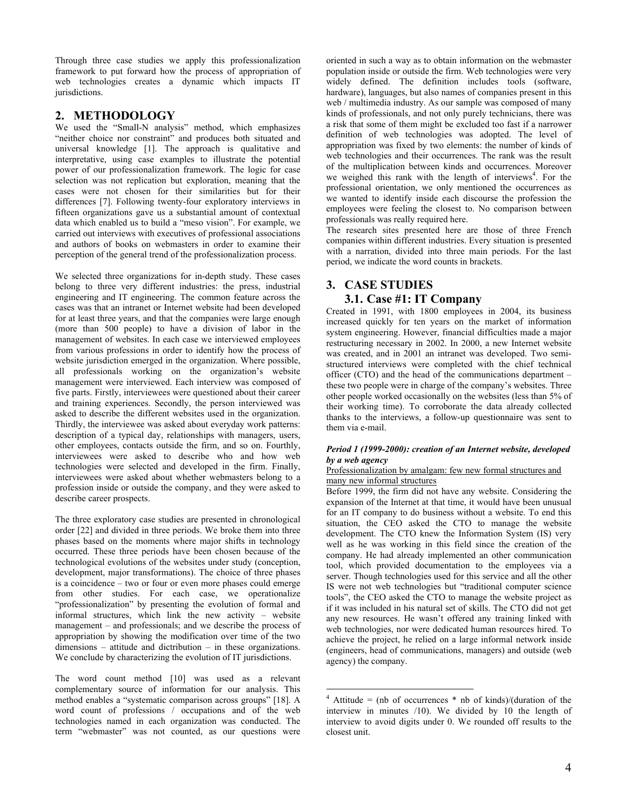Through three case studies we apply this professionalization framework to put forward how the process of appropriation of web technologies creates a dynamic which impacts IT jurisdictions.

# **2. METHODOLOGY**

We used the "Small-N analysis" method, which emphasizes "neither choice nor constraint" and produces both situated and universal knowledge [1]. The approach is qualitative and interpretative, using case examples to illustrate the potential power of our professionalization framework. The logic for case selection was not replication but exploration, meaning that the cases were not chosen for their similarities but for their differences [7]. Following twenty-four exploratory interviews in fifteen organizations gave us a substantial amount of contextual data which enabled us to build a "meso vision". For example, we carried out interviews with executives of professional associations and authors of books on webmasters in order to examine their perception of the general trend of the professionalization process.

We selected three organizations for in-depth study. These cases belong to three very different industries: the press, industrial engineering and IT engineering. The common feature across the cases was that an intranet or Internet website had been developed for at least three years, and that the companies were large enough (more than 500 people) to have a division of labor in the management of websites. In each case we interviewed employees from various professions in order to identify how the process of website jurisdiction emerged in the organization. Where possible, all professionals working on the organization's website management were interviewed. Each interview was composed of five parts. Firstly, interviewees were questioned about their career and training experiences. Secondly, the person interviewed was asked to describe the different websites used in the organization. Thirdly, the interviewee was asked about everyday work patterns: description of a typical day, relationships with managers, users, other employees, contacts outside the firm, and so on. Fourthly, interviewees were asked to describe who and how web technologies were selected and developed in the firm. Finally, interviewees were asked about whether webmasters belong to a profession inside or outside the company, and they were asked to describe career prospects.

The three exploratory case studies are presented in chronological order [22] and divided in three periods. We broke them into three phases based on the moments where major shifts in technology occurred. These three periods have been chosen because of the technological evolutions of the websites under study (conception, development, major transformations). The choice of three phases is a coincidence – two or four or even more phases could emerge from other studies. For each case, we operationalize "professionalization" by presenting the evolution of formal and informal structures, which link the new activity – website management – and professionals; and we describe the process of appropriation by showing the modification over time of the two dimensions – attitude and dictribution – in these organizations. We conclude by characterizing the evolution of IT jurisdictions.

The word count method [10] was used as a relevant complementary source of information for our analysis. This method enables a "systematic comparison across groups" [18]. A word count of professions / occupations and of the web technologies named in each organization was conducted. The term "webmaster" was not counted, as our questions were

oriented in such a way as to obtain information on the webmaster population inside or outside the firm. Web technologies were very widely defined. The definition includes tools (software, hardware), languages, but also names of companies present in this web / multimedia industry. As our sample was composed of many kinds of professionals, and not only purely technicians, there was a risk that some of them might be excluded too fast if a narrower definition of web technologies was adopted. The level of appropriation was fixed by two elements: the number of kinds of web technologies and their occurrences. The rank was the result of the multiplication between kinds and occurrences. Moreover we weighed this rank with the length of interviews<sup>4</sup>. For the professional orientation, we only mentioned the occurrences as we wanted to identify inside each discourse the profession the employees were feeling the closest to. No comparison between professionals was really required here.

The research sites presented here are those of three French companies within different industries. Every situation is presented with a narration, divided into three main periods. For the last period, we indicate the word counts in brackets.

# **3. CASE STUDIES**

# **3.1. Case #1: IT Company**

Created in 1991, with 1800 employees in 2004, its business increased quickly for ten years on the market of information system engineering. However, financial difficulties made a major restructuring necessary in 2002. In 2000, a new Internet website was created, and in 2001 an intranet was developed. Two semistructured interviews were completed with the chief technical officer (CTO) and the head of the communications department – these two people were in charge of the company's websites. Three other people worked occasionally on the websites (less than 5% of their working time). To corroborate the data already collected thanks to the interviews, a follow-up questionnaire was sent to them via e-mail.

### *Period 1 (1999-2000): creation of an Internet website, developed by a web agency*

### Professionalization by amalgam: few new formal structures and many new informal structures

Before 1999, the firm did not have any website. Considering the expansion of the Internet at that time, it would have been unusual for an IT company to do business without a website. To end this situation, the CEO asked the CTO to manage the website development. The CTO knew the Information System (IS) very well as he was working in this field since the creation of the company. He had already implemented an other communication tool, which provided documentation to the employees via a server. Though technologies used for this service and all the other IS were not web technologies but "traditional computer science tools", the CEO asked the CTO to manage the website project as if it was included in his natural set of skills. The CTO did not get any new resources. He wasn't offered any training linked with web technologies, nor were dedicated human resources hired. To achieve the project, he relied on a large informal network inside (engineers, head of communications, managers) and outside (web agency) the company.

 $\overline{4}$  Attitude = (nb of occurrences \* nb of kinds)/(duration of the interview in minutes /10). We divided by 10 the length of interview to avoid digits under 0. We rounded off results to the closest unit.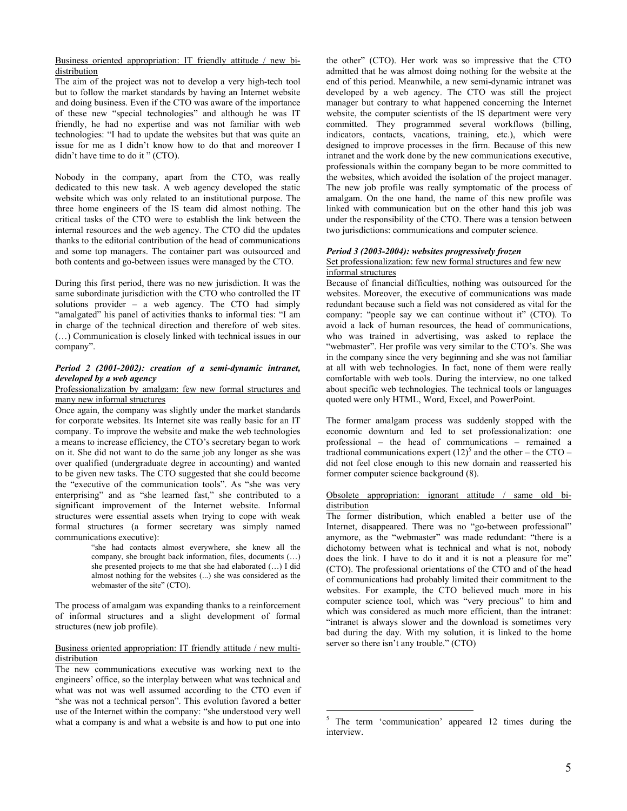Business oriented appropriation: IT friendly attitude / new bidistribution

The aim of the project was not to develop a very high-tech tool but to follow the market standards by having an Internet website and doing business. Even if the CTO was aware of the importance of these new "special technologies" and although he was IT friendly, he had no expertise and was not familiar with web technologies: "I had to update the websites but that was quite an issue for me as I didn't know how to do that and moreover I didn't have time to do it " (CTO).

Nobody in the company, apart from the CTO, was really dedicated to this new task. A web agency developed the static website which was only related to an institutional purpose. The three home engineers of the IS team did almost nothing. The critical tasks of the CTO were to establish the link between the internal resources and the web agency. The CTO did the updates thanks to the editorial contribution of the head of communications and some top managers. The container part was outsourced and both contents and go-between issues were managed by the CTO.

During this first period, there was no new jurisdiction. It was the same subordinate jurisdiction with the CTO who controlled the IT solutions provider – a web agency. The CTO had simply "amalgated" his panel of activities thanks to informal ties: "I am in charge of the technical direction and therefore of web sites. (…) Communication is closely linked with technical issues in our company".

### *Period 2 (2001-2002): creation of a semi-dynamic intranet, developed by a web agency*

### Professionalization by amalgam: few new formal structures and many new informal structures

Once again, the company was slightly under the market standards for corporate websites. Its Internet site was really basic for an IT company. To improve the website and make the web technologies a means to increase efficiency, the CTO's secretary began to work on it. She did not want to do the same job any longer as she was over qualified (undergraduate degree in accounting) and wanted to be given new tasks. The CTO suggested that she could become the "executive of the communication tools". As "she was very enterprising" and as "she learned fast," she contributed to a significant improvement of the Internet website. Informal structures were essential assets when trying to cope with weak formal structures (a former secretary was simply named communications executive):

"she had contacts almost everywhere, she knew all the company, she brought back information, files, documents (…) she presented projects to me that she had elaborated (…) I did almost nothing for the websites (...) she was considered as the webmaster of the site" (CTO).

The process of amalgam was expanding thanks to a reinforcement of informal structures and a slight development of formal structures (new job profile).

### Business oriented appropriation: IT friendly attitude / new multidistribution

The new communications executive was working next to the engineers' office, so the interplay between what was technical and what was not was well assumed according to the CTO even if "she was not a technical person". This evolution favored a better use of the Internet within the company: "she understood very well what a company is and what a website is and how to put one into

the other" (CTO). Her work was so impressive that the CTO admitted that he was almost doing nothing for the website at the end of this period. Meanwhile, a new semi-dynamic intranet was developed by a web agency. The CTO was still the project manager but contrary to what happened concerning the Internet website, the computer scientists of the IS department were very committed. They programmed several workflows (billing, indicators, contacts, vacations, training, etc.), which were designed to improve processes in the firm. Because of this new intranet and the work done by the new communications executive, professionals within the company began to be more committed to the websites, which avoided the isolation of the project manager. The new job profile was really symptomatic of the process of amalgam. On the one hand, the name of this new profile was linked with communication but on the other hand this job was under the responsibility of the CTO. There was a tension between two jurisdictions: communications and computer science.

### *Period 3 (2003-2004): websites progressively frozen*

#### Set professionalization: few new formal structures and few new informal structures

Because of financial difficulties, nothing was outsourced for the websites. Moreover, the executive of communications was made redundant because such a field was not considered as vital for the company: "people say we can continue without it" (CTO). To avoid a lack of human resources, the head of communications, who was trained in advertising, was asked to replace the "webmaster". Her profile was very similar to the CTO's. She was in the company since the very beginning and she was not familiar at all with web technologies. In fact, none of them were really comfortable with web tools. During the interview, no one talked about specific web technologies. The technical tools or languages quoted were only HTML, Word, Excel, and PowerPoint.

The former amalgam process was suddenly stopped with the economic downturn and led to set professionalization: one professional – the head of communications – remained a tradtional communications expert  $(12)^5$  and the other – the CTO – did not feel close enough to this new domain and reasserted his former computer science background (8).

## Obsolete appropriation: ignorant attitude / same old bidistribution

The former distribution, which enabled a better use of the Internet, disappeared. There was no "go-between professional" anymore, as the "webmaster" was made redundant: "there is a dichotomy between what is technical and what is not, nobody does the link. I have to do it and it is not a pleasure for me" (CTO). The professional orientations of the CTO and of the head of communications had probably limited their commitment to the websites. For example, the CTO believed much more in his computer science tool, which was "very precious" to him and which was considered as much more efficient, than the intranet: "intranet is always slower and the download is sometimes very bad during the day. With my solution, it is linked to the home server so there isn't any trouble." (CTO)

<sup>&</sup>lt;sup>5</sup> The term 'communication' appeared 12 times during the interview.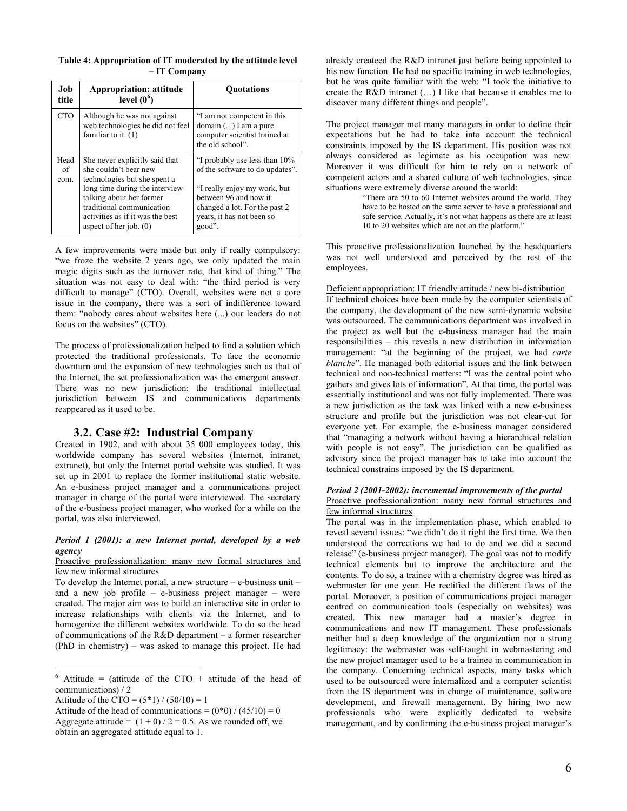| Table 4: Appropriation of IT moderated by the attitude level |              |  |  |
|--------------------------------------------------------------|--------------|--|--|
|                                                              | - IT Company |  |  |

| Job<br>title       | <b>Appropriation: attitude</b><br>level $(06)$                                                                                                                                                                                                     | <b>Ouotations</b>                                                                                                                                                                                 |
|--------------------|----------------------------------------------------------------------------------------------------------------------------------------------------------------------------------------------------------------------------------------------------|---------------------------------------------------------------------------------------------------------------------------------------------------------------------------------------------------|
| <b>CTO</b>         | Although he was not against<br>web technologies he did not feel<br>familiar to it. $(1)$                                                                                                                                                           | "I am not competent in this<br>domain $()$ I am a pure<br>computer scientist trained at<br>the old school".                                                                                       |
| Head<br>of<br>com. | She never explicitly said that<br>she couldn't bear new<br>technologies but she spent a<br>long time during the interview<br>talking about her former<br>traditional communication<br>activities as if it was the best<br>aspect of her job. $(0)$ | "I probably use less than 10%<br>of the software to do updates".<br>"I really enjoy my work, but<br>between 96 and now it<br>changed a lot. For the past 2<br>years, it has not been so<br>good". |

A few improvements were made but only if really compulsory: "we froze the website 2 years ago, we only updated the main magic digits such as the turnover rate, that kind of thing." The situation was not easy to deal with: "the third period is very difficult to manage" (CTO). Overall, websites were not a core issue in the company, there was a sort of indifference toward them: "nobody cares about websites here (...) our leaders do not focus on the websites" (CTO).

The process of professionalization helped to find a solution which protected the traditional professionals. To face the economic downturn and the expansion of new technologies such as that of the Internet, the set professionalization was the emergent answer. There was no new jurisdiction: the traditional intellectual jurisdiction between IS and communications departments reappeared as it used to be.

## **3.2. Case #2: Industrial Company**

Created in 1902, and with about 35 000 employees today, this worldwide company has several websites (Internet, intranet, extranet), but only the Internet portal website was studied. It was set up in 2001 to replace the former institutional static website. An e-business project manager and a communications project manager in charge of the portal were interviewed. The secretary of the e-business project manager, who worked for a while on the portal, was also interviewed.

### *Period 1 (2001): a new Internet portal, developed by a web agency*

Proactive professionalization: many new formal structures and few new informal structures

To develop the Internet portal, a new structure – e-business unit – and a new job profile – e-business project manager – were created. The major aim was to build an interactive site in order to increase relationships with clients via the Internet, and to homogenize the different websites worldwide. To do so the head of communications of the R&D department – a former researcher (PhD in chemistry) – was asked to manage this project. He had already createed the R&D intranet just before being appointed to his new function. He had no specific training in web technologies, but he was quite familiar with the web: "I took the initiative to create the R&D intranet (…) I like that because it enables me to discover many different things and people".

The project manager met many managers in order to define their expectations but he had to take into account the technical constraints imposed by the IS department. His position was not always considered as legimate as his occupation was new. Moreover it was difficult for him to rely on a network of competent actors and a shared culture of web technologies, since situations were extremely diverse around the world:

"There are 50 to 60 Internet websites around the world. They have to be hosted on the same server to have a professional and safe service. Actually, it's not what happens as there are at least 10 to 20 websites which are not on the platform."

This proactive professionalization launched by the headquarters was not well understood and perceived by the rest of the employees.

### Deficient appropriation: IT friendly attitude / new bi-distribution

If technical choices have been made by the computer scientists of the company, the development of the new semi-dynamic website was outsourced. The communications department was involved in the project as well but the e-business manager had the main responsibilities – this reveals a new distribution in information management: "at the beginning of the project, we had *carte blanche*". He managed both editorial issues and the link between technical and non-technical matters: "I was the central point who gathers and gives lots of information". At that time, the portal was essentially institutional and was not fully implemented. There was a new jurisdiction as the task was linked with a new e-business structure and profile but the jurisdiction was not clear-cut for everyone yet. For example, the e-business manager considered that "managing a network without having a hierarchical relation with people is not easy". The jurisdiction can be qualified as advisory since the project manager has to take into account the technical constrains imposed by the IS department.

#### *Period 2 (2001-2002): incremental improvements of the portal*  Proactive professionalization: many new formal structures and few informal structures

The portal was in the implementation phase, which enabled to reveal several issues: "we didn't do it right the first time. We then understood the corrections we had to do and we did a second release" (e-business project manager). The goal was not to modify technical elements but to improve the architecture and the contents. To do so, a trainee with a chemistry degree was hired as webmaster for one year. He rectified the different flaws of the portal. Moreover, a position of communications project manager centred on communication tools (especially on websites) was created. This new manager had a master's degree in communications and new IT management. These professionals neither had a deep knowledge of the organization nor a strong legitimacy: the webmaster was self-taught in webmastering and the new project manager used to be a trainee in communication in the company. Concerning technical aspects, many tasks which used to be outsourced were internalized and a computer scientist from the IS department was in charge of maintenance, software development, and firewall management. By hiring two new professionals who were explicitly dedicated to website management, and by confirming the e-business project manager's

 $\frac{6}{6}$  Attitude = (attitude of the CTO + attitude of the head of communications) / 2

Attitude of the CTO =  $(5*1) / (50/10) = 1$ 

Attitude of the head of communications =  $(0*0) / (45/10) = 0$ Aggregate attitude =  $(1 + 0) / 2 = 0.5$ . As we rounded off, we obtain an aggregated attitude equal to 1.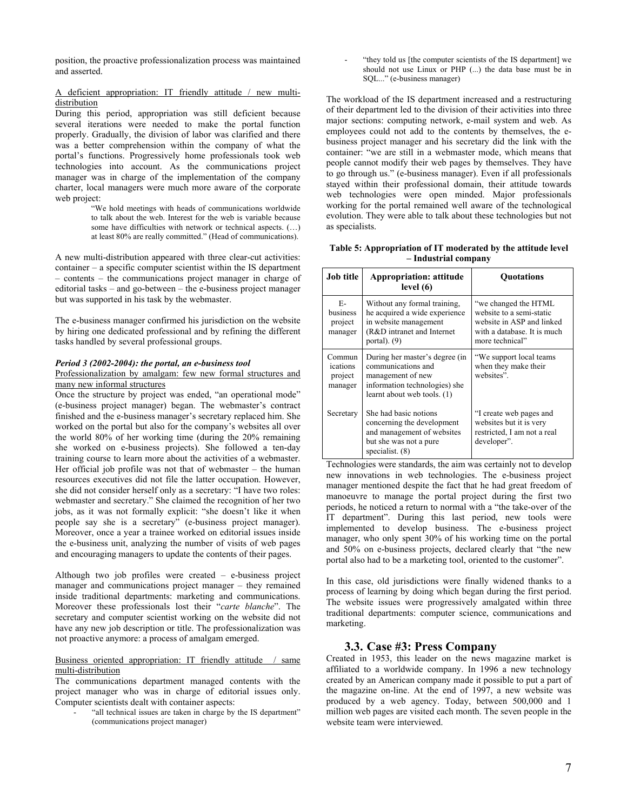position, the proactive professionalization process was maintained and asserted.

### A deficient appropriation: IT friendly attitude / new multidistribution

During this period, appropriation was still deficient because several iterations were needed to make the portal function properly. Gradually, the division of labor was clarified and there was a better comprehension within the company of what the portal's functions. Progressively home professionals took web technologies into account. As the communications project manager was in charge of the implementation of the company charter, local managers were much more aware of the corporate web project:

> "We hold meetings with heads of communications worldwide to talk about the web. Interest for the web is variable because some have difficulties with network or technical aspects. (…) at least 80% are really committed." (Head of communications).

A new multi-distribution appeared with three clear-cut activities: container – a specific computer scientist within the IS department – contents – the communications project manager in charge of editorial tasks – and go-between – the e-business project manager but was supported in his task by the webmaster.

The e-business manager confirmed his jurisdiction on the website by hiring one dedicated professional and by refining the different tasks handled by several professional groups.

### *Period 3 (2002-2004): the portal, an e-business tool*

### Professionalization by amalgam: few new formal structures and many new informal structures

Once the structure by project was ended, "an operational mode" (e-business project manager) began. The webmaster's contract finished and the e-business manager's secretary replaced him. She worked on the portal but also for the company's websites all over the world 80% of her working time (during the 20% remaining she worked on e-business projects). She followed a ten-day training course to learn more about the activities of a webmaster. Her official job profile was not that of webmaster – the human resources executives did not file the latter occupation. However, she did not consider herself only as a secretary: "I have two roles: webmaster and secretary." She claimed the recognition of her two jobs, as it was not formally explicit: "she doesn't like it when people say she is a secretary" (e-business project manager). Moreover, once a year a trainee worked on editorial issues inside the e-business unit, analyzing the number of visits of web pages and encouraging managers to update the contents of their pages.

Although two job profiles were created – e-business project manager and communications project manager – they remained inside traditional departments: marketing and communications. Moreover these professionals lost their "*carte blanche*". The secretary and computer scientist working on the website did not have any new job description or title. The professionalization was not proactive anymore: a process of amalgam emerged.

## Business oriented appropriation: IT friendly attitude / same multi-distribution

The communications department managed contents with the project manager who was in charge of editorial issues only. Computer scientists dealt with container aspects:

"all technical issues are taken in charge by the IS department" (communications project manager)

"they told us [the computer scientists of the IS department] we should not use Linux or PHP (...) the data base must be in SQL..." (e-business manager)

The workload of the IS department increased and a restructuring of their department led to the division of their activities into three major sections: computing network, e-mail system and web. As employees could not add to the contents by themselves, the ebusiness project manager and his secretary did the link with the container: "we are still in a webmaster mode, which means that people cannot modify their web pages by themselves. They have to go through us." (e-business manager). Even if all professionals stayed within their professional domain, their attitude towards web technologies were open minded. Major professionals working for the portal remained well aware of the technological evolution. They were able to talk about these technologies but not as specialists.

**Table 5: Appropriation of IT moderated by the attitude level – Industrial company** 

| <b>Job title</b>                         | <b>Appropriation: attitude</b><br>level $(6)$                                                                                             | <b>Ouotations</b>                                                                                                               |
|------------------------------------------|-------------------------------------------------------------------------------------------------------------------------------------------|---------------------------------------------------------------------------------------------------------------------------------|
| E-<br>business<br>project<br>manager     | Without any formal training,<br>he acquired a wide experience<br>in website management<br>(R&D intranet and Internet)<br>portal). $(9)$   | "we changed the HTML<br>website to a semi-static<br>website in ASP and linked<br>with a database. It is much<br>more technical" |
| Commun<br>ications<br>project<br>manager | During her master's degree (in<br>communications and<br>management of new<br>information technologies) she<br>learnt about web tools. (1) | "We support local teams"<br>when they make their<br>websites".                                                                  |
| Secretary                                | She had basic notions<br>concerning the development<br>and management of websites<br>but she was not a pure<br>specialist. $(8)$          | "I create web pages and<br>websites but it is very<br>restricted, I am not a real<br>developer".                                |

Technologies were standards, the aim was certainly not to develop new innovations in web technologies. The e-business project manager mentioned despite the fact that he had great freedom of manoeuvre to manage the portal project during the first two periods, he noticed a return to normal with a "the take-over of the IT department". During this last period, new tools were implemented to develop business. The e-business project manager, who only spent 30% of his working time on the portal and 50% on e-business projects, declared clearly that "the new portal also had to be a marketing tool, oriented to the customer".

In this case, old jurisdictions were finally widened thanks to a process of learning by doing which began during the first period. The website issues were progressively amalgated within three traditional departments: computer science, communications and marketing.

## **3.3. Case #3: Press Company**

Created in 1953, this leader on the news magazine market is affiliated to a worldwide company. In 1996 a new technology created by an American company made it possible to put a part of the magazine on-line. At the end of 1997, a new website was produced by a web agency. Today, between 500,000 and 1 million web pages are visited each month. The seven people in the website team were interviewed.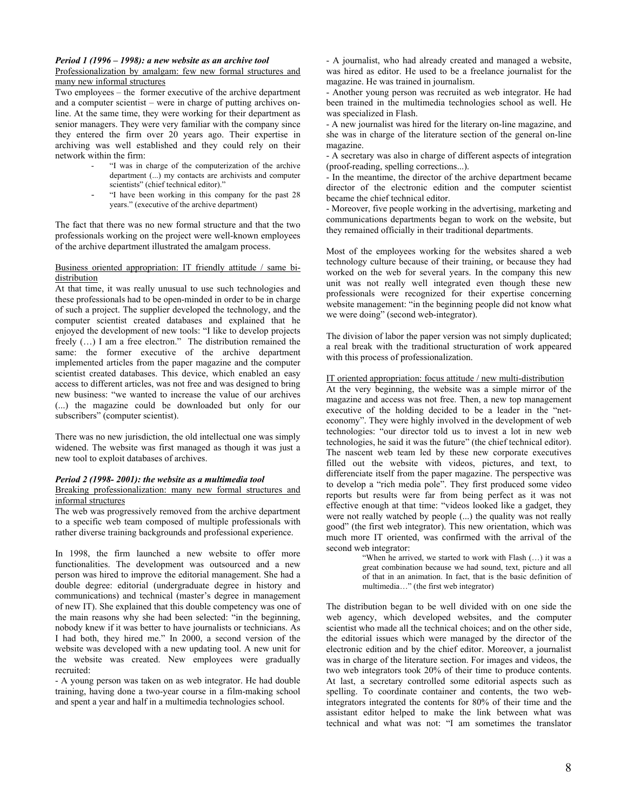## *Period 1 (1996 – 1998): a new website as an archive tool*

Professionalization by amalgam: few new formal structures and many new informal structures

Two employees – the former executive of the archive department and a computer scientist – were in charge of putting archives online. At the same time, they were working for their department as senior managers. They were very familiar with the company since they entered the firm over 20 years ago. Their expertise in archiving was well established and they could rely on their network within the firm:

- "I was in charge of the computerization of the archive department (...) my contacts are archivists and computer scientists" (chief technical editor)."
- "I have been working in this company for the past 28 years." (executive of the archive department)

The fact that there was no new formal structure and that the two professionals working on the project were well-known employees of the archive department illustrated the amalgam process.

#### Business oriented appropriation: IT friendly attitude / same bidistribution

At that time, it was really unusual to use such technologies and these professionals had to be open-minded in order to be in charge of such a project. The supplier developed the technology, and the computer scientist created databases and explained that he enjoyed the development of new tools: "I like to develop projects freely (…) I am a free electron." The distribution remained the same: the former executive of the archive department implemented articles from the paper magazine and the computer scientist created databases. This device, which enabled an easy access to different articles, was not free and was designed to bring new business: "we wanted to increase the value of our archives (...) the magazine could be downloaded but only for our subscribers" (computer scientist).

There was no new jurisdiction, the old intellectual one was simply widened. The website was first managed as though it was just a new tool to exploit databases of archives.

# *Period 2 (1998- 2001): the website as a multimedia tool*

## Breaking professionalization: many new formal structures and informal structures

The web was progressively removed from the archive department to a specific web team composed of multiple professionals with rather diverse training backgrounds and professional experience.

In 1998, the firm launched a new website to offer more functionalities. The development was outsourced and a new person was hired to improve the editorial management. She had a double degree: editorial (undergraduate degree in history and communications) and technical (master's degree in management of new IT). She explained that this double competency was one of the main reasons why she had been selected: "in the beginning, nobody knew if it was better to have journalists or technicians. As I had both, they hired me." In 2000, a second version of the website was developed with a new updating tool. A new unit for the website was created. New employees were gradually recruited:

- A young person was taken on as web integrator. He had double training, having done a two-year course in a film-making school and spent a year and half in a multimedia technologies school.

- A journalist, who had already created and managed a website, was hired as editor. He used to be a freelance journalist for the magazine. He was trained in journalism.

- Another young person was recruited as web integrator. He had been trained in the multimedia technologies school as well. He was specialized in Flash.

- A new journalist was hired for the literary on-line magazine, and she was in charge of the literature section of the general on-line magazine.

- A secretary was also in charge of different aspects of integration (proof-reading, spelling corrections...).

- In the meantime, the director of the archive department became director of the electronic edition and the computer scientist became the chief technical editor.

- Moreover, five people working in the advertising, marketing and communications departments began to work on the website, but they remained officially in their traditional departments.

Most of the employees working for the websites shared a web technology culture because of their training, or because they had worked on the web for several years. In the company this new unit was not really well integrated even though these new professionals were recognized for their expertise concerning website management: "in the beginning people did not know what we were doing" (second web-integrator).

The division of labor the paper version was not simply duplicated; a real break with the traditional structuration of work appeared with this process of professionalization.

### IT oriented appropriation: focus attitude / new multi-distribution

At the very beginning, the website was a simple mirror of the magazine and access was not free. Then, a new top management executive of the holding decided to be a leader in the "neteconomy". They were highly involved in the development of web technologies: "our director told us to invest a lot in new web technologies, he said it was the future" (the chief technical editor). The nascent web team led by these new corporate executives filled out the website with videos, pictures, and text, to differenciate itself from the paper magazine. The perspective was to develop a "rich media pole". They first produced some video reports but results were far from being perfect as it was not effective enough at that time: "videos looked like a gadget, they were not really watched by people (...) the quality was not really good" (the first web integrator). This new orientation, which was much more IT oriented, was confirmed with the arrival of the second web integrator:

> "When he arrived, we started to work with Flash (…) it was a great combination because we had sound, text, picture and all of that in an animation. In fact, that is the basic definition of multimedia…" (the first web integrator)

The distribution began to be well divided with on one side the web agency, which developed websites, and the computer scientist who made all the technical choices; and on the other side, the editorial issues which were managed by the director of the electronic edition and by the chief editor. Moreover, a journalist was in charge of the literature section. For images and videos, the two web integrators took 20% of their time to produce contents. At last, a secretary controlled some editorial aspects such as spelling. To coordinate container and contents, the two webintegrators integrated the contents for 80% of their time and the assistant editor helped to make the link between what was technical and what was not: "I am sometimes the translator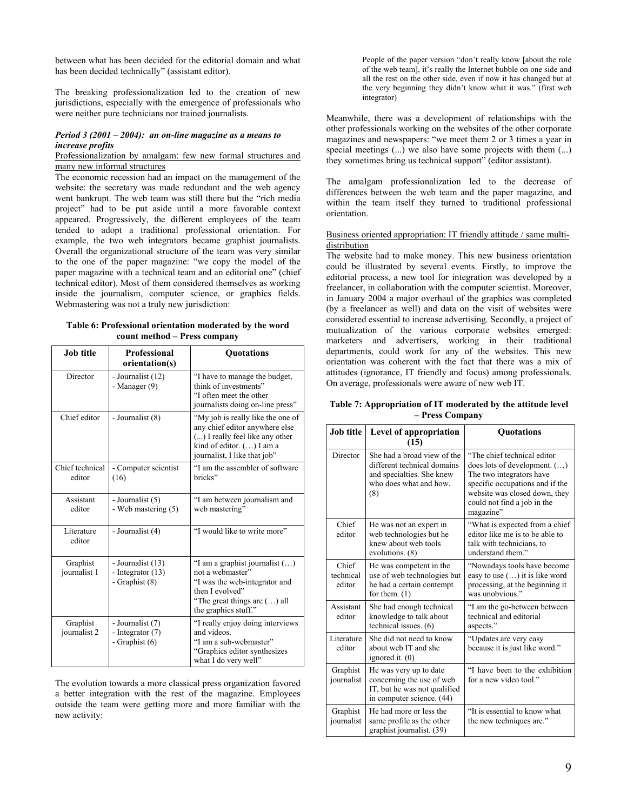between what has been decided for the editorial domain and what has been decided technically" (assistant editor).

The breaking professionalization led to the creation of new jurisdictions, especially with the emergence of professionals who were neither pure technicians nor trained journalists.

#### *Period 3 (2001 – 2004): an on-line magazine as a means to increase profits*

#### Professionalization by amalgam: few new formal structures and many new informal structures

The economic recession had an impact on the management of the website: the secretary was made redundant and the web agency went bankrupt. The web team was still there but the "rich media project" had to be put aside until a more favorable context appeared. Progressively, the different employees of the team tended to adopt a traditional professional orientation. For example, the two web integrators became graphist journalists. Overall the organizational structure of the team was very similar to the one of the paper magazine: "we copy the model of the paper magazine with a technical team and an editorial one" (chief technical editor). Most of them considered themselves as working inside the journalism, computer science, or graphics fields. Webmastering was not a truly new jurisdiction:

### **Table 6: Professional orientation moderated by the word count method – Press company**

| Job title                 | <b>Professional</b><br>orientation(s)                      | <b>Quotations</b>                                                                                                                                                      |
|---------------------------|------------------------------------------------------------|------------------------------------------------------------------------------------------------------------------------------------------------------------------------|
| Director                  | - Journalist (12)<br>- Manager $(9)$                       | "I have to manage the budget,<br>think of investments"<br>"I often meet the other<br>journalists doing on-line press"                                                  |
| Chief editor              | - Journalist (8)                                           | "My job is really like the one of<br>any chief editor anywhere else<br>() I really feel like any other<br>kind of editor. () I am a<br>journalist, I like that job"    |
| Chief technical<br>editor | - Computer scientist<br>(16)                               | "I am the assembler of software<br>bricks"                                                                                                                             |
| Assistant<br>editor       | - Journalist (5)<br>- Web mastering (5)                    | "I am between journalism and<br>web mastering"                                                                                                                         |
| Literature<br>editor      | - Journalist (4)                                           | "I would like to write more"                                                                                                                                           |
| Graphist<br>journalist 1  | - Journalist (13)<br>- Integrator $(13)$<br>- Graphist (8) | "I am a graphist journalist $(\ldots)$<br>not a webmaster"<br>"I was the web-integrator and<br>then I evolved"<br>"The great things are () all<br>the graphics stuff." |
| Graphist<br>journalist 2  | - Journalist (7)<br>- Integrator $(7)$<br>- Graphist $(6)$ | "I really enjoy doing interviews<br>and videos.<br>"I am a sub-webmaster"<br>"Graphics editor synthesizes<br>what I do very well"                                      |

The evolution towards a more classical press organization favored a better integration with the rest of the magazine. Employees outside the team were getting more and more familiar with the new activity:

People of the paper version "don't really know [about the role of the web team], it's really the Internet bubble on one side and all the rest on the other side, even if now it has changed but at the very beginning they didn't know what it was." (first web integrator)

Meanwhile, there was a development of relationships with the other professionals working on the websites of the other corporate magazines and newspapers: "we meet them 2 or 3 times a year in special meetings (...) we also have some projects with them (...) they sometimes bring us technical support" (editor assistant).

The amalgam professionalization led to the decrease of differences between the web team and the paper magazine, and within the team itself they turned to traditional professional orientation.

### Business oriented appropriation: IT friendly attitude / same multidistribution

The website had to make money. This new business orientation could be illustrated by several events. Firstly, to improve the editorial process, a new tool for integration was developed by a freelancer, in collaboration with the computer scientist. Moreover, in January 2004 a major overhaul of the graphics was completed (by a freelancer as well) and data on the visit of websites were considered essential to increase advertising. Secondly, a project of mutualization of the various corporate websites emerged: marketers and advertisers, working in their traditional departments, could work for any of the websites. This new orientation was coherent with the fact that there was a mix of attitudes (ignorance, IT friendly and focus) among professionals. On average, professionals were aware of new web IT.

**Table 7: Appropriation of IT moderated by the attitude level – Press Company** 

| Job title                    | Level of appropriation                                                                                                   | Quotations                                                                                                                                                                                                      |  |
|------------------------------|--------------------------------------------------------------------------------------------------------------------------|-----------------------------------------------------------------------------------------------------------------------------------------------------------------------------------------------------------------|--|
|                              | (15)                                                                                                                     |                                                                                                                                                                                                                 |  |
| Director                     | She had a broad view of the<br>different technical domains<br>and specialties. She knew<br>who does what and how.<br>(8) | "The chief technical editor<br>does lots of development. $(\ldots)$<br>The two integrators have<br>specific occupations and if the<br>website was closed down, they<br>could not find a job in the<br>magazine" |  |
| Chief<br>editor              | He was not an expert in<br>web technologies but he<br>knew about web tools<br>evolutions. (8)                            | "What is expected from a chief"<br>editor like me is to be able to<br>talk with technicians, to<br>understand them."                                                                                            |  |
| Chief<br>technical<br>editor | He was competent in the<br>use of web technologies but<br>he had a certain contempt<br>for them. $(1)$                   | "Nowadays tools have become<br>easy to use () it is like word<br>processing, at the beginning it<br>was unobvious."                                                                                             |  |
| Assistant<br>editor          | She had enough technical<br>knowledge to talk about<br>technical issues. (6)                                             | "I am the go-between between<br>technical and editorial<br>aspects."                                                                                                                                            |  |
| Literature<br>editor         | She did not need to know<br>about web IT and she<br>ignored it. $(0)$                                                    | "Updates are very easy<br>because it is just like word."                                                                                                                                                        |  |
| Graphist<br>journalist       | He was very up to date<br>concerning the use of web<br>IT, but he was not qualified<br>in computer science. (44)         | "I have been to the exhibition<br>for a new video tool."                                                                                                                                                        |  |
| Graphist<br>journalist       | He had more or less the<br>same profile as the other<br>graphist journalist. (39)                                        | "It is essential to know what<br>the new techniques are."                                                                                                                                                       |  |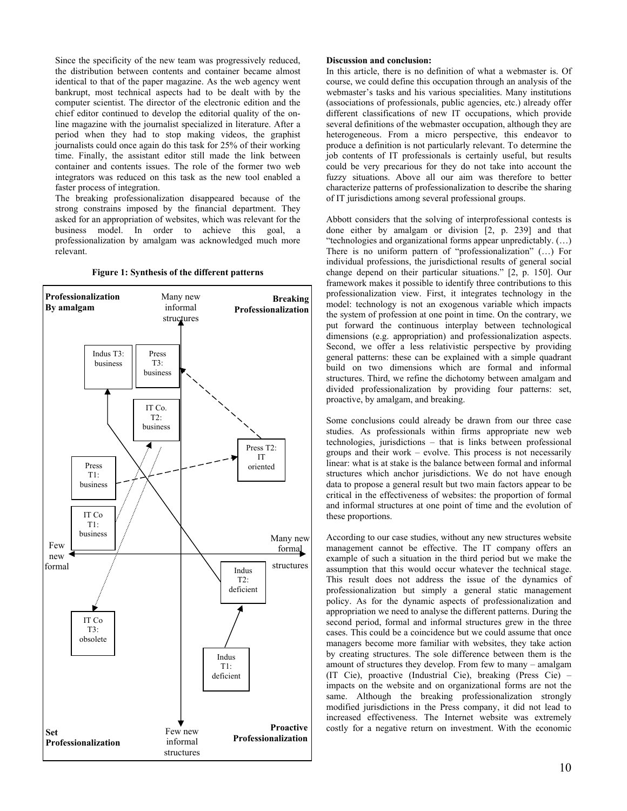Since the specificity of the new team was progressively reduced, the distribution between contents and container became almost identical to that of the paper magazine. As the web agency went bankrupt, most technical aspects had to be dealt with by the computer scientist. The director of the electronic edition and the chief editor continued to develop the editorial quality of the online magazine with the journalist specialized in literature. After a period when they had to stop making videos, the graphist journalists could once again do this task for 25% of their working time. Finally, the assistant editor still made the link between container and contents issues. The role of the former two web integrators was reduced on this task as the new tool enabled a faster process of integration.

The breaking professionalization disappeared because of the strong constrains imposed by the financial department. They asked for an appropriation of websites, which was relevant for the business model. In order to achieve this goal, a professionalization by amalgam was acknowledged much more relevant.

**Figure 1: Synthesis of the different patterns** 



#### **Discussion and conclusion:**

In this article, there is no definition of what a webmaster is. Of course, we could define this occupation through an analysis of the webmaster's tasks and his various specialities. Many institutions (associations of professionals, public agencies, etc.) already offer different classifications of new IT occupations, which provide several definitions of the webmaster occupation, although they are heterogeneous. From a micro perspective, this endeavor to produce a definition is not particularly relevant. To determine the job contents of IT professionals is certainly useful, but results could be very precarious for they do not take into account the fuzzy situations. Above all our aim was therefore to better characterize patterns of professionalization to describe the sharing of IT jurisdictions among several professional groups.

Abbott considers that the solving of interprofessional contests is done either by amalgam or division [2, p. 239] and that "technologies and organizational forms appear unpredictably. (…) There is no uniform pattern of "professionalization" (…) For individual professions, the jurisdictional results of general social change depend on their particular situations." [2, p. 150]. Our framework makes it possible to identify three contributions to this professionalization view. First, it integrates technology in the model: technology is not an exogenous variable which impacts the system of profession at one point in time. On the contrary, we put forward the continuous interplay between technological dimensions (e.g. appropriation) and professionalization aspects. Second, we offer a less relativistic perspective by providing general patterns: these can be explained with a simple quadrant build on two dimensions which are formal and informal structures. Third, we refine the dichotomy between amalgam and divided professionalization by providing four patterns: set, proactive, by amalgam, and breaking.

Some conclusions could already be drawn from our three case studies. As professionals within firms appropriate new web technologies, jurisdictions – that is links between professional groups and their work – evolve. This process is not necessarily linear: what is at stake is the balance between formal and informal structures which anchor jurisdictions. We do not have enough data to propose a general result but two main factors appear to be critical in the effectiveness of websites: the proportion of formal and informal structures at one point of time and the evolution of these proportions.

According to our case studies, without any new structures website management cannot be effective. The IT company offers an example of such a situation in the third period but we make the assumption that this would occur whatever the technical stage. This result does not address the issue of the dynamics of professionalization but simply a general static management policy. As for the dynamic aspects of professionalization and appropriation we need to analyse the different patterns. During the second period, formal and informal structures grew in the three cases. This could be a coincidence but we could assume that once managers become more familiar with websites, they take action by creating structures. The sole difference between them is the amount of structures they develop. From few to many – amalgam (IT Cie), proactive (Industrial Cie), breaking (Press Cie) – impacts on the website and on organizational forms are not the same. Although the breaking professionalization strongly modified jurisdictions in the Press company, it did not lead to increased effectiveness. The Internet website was extremely costly for a negative return on investment. With the economic